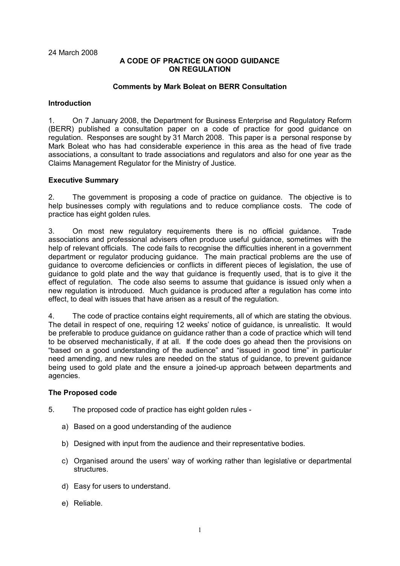24 March 2008

### **A CODE OF PRACTICE ON GOOD GUIDANCE ON REGULATION**

### **Comments by Mark Boleat on BERR Consultation**

### **Introduction**

1. On 7 January 2008, the Department for Business Enterprise and Regulatory Reform (BERR) published a consultation paper on a code of practice for good guidance on regulation. Responses are sought by 31 March 2008. This paper is a personal response by Mark Boleat who has had considerable experience in this area as the head of five trade associations, a consultant to trade associations and regulators and also for one year as the Claims Management Regulator for the Ministry of Justice.

### **Executive Summary**

2. The government is proposing a code of practice on guidance. The objective is to help businesses comply with regulations and to reduce compliance costs. The code of practice has eight golden rules.

3. On most new regulatory requirements there is no official guidance. Trade associations and professional advisers often produce useful guidance, sometimes with the help of relevant officials. The code fails to recognise the difficulties inherent in a government department or regulator producing guidance. The main practical problems are the use of guidance to overcome deficiencies or conflicts in different pieces of legislation, the use of guidance to gold plate and the way that guidance is frequently used, that is to give it the effect of regulation. The code also seems to assume that guidance is issued only when a new regulation is introduced. Much guidance is produced after a regulation has come into effect, to deal with issues that have arisen as a result of the regulation.

4. The code of practice contains eight requirements, all of which are stating the obvious. The detail in respect of one, requiring 12 weeks' notice of guidance, is unrealistic. It would be preferable to produce guidance on guidance rather than a code of practice which will tend to be observed mechanistically, if at all. If the code does go ahead then the provisions on "based on a good understanding of the audience" and "issued in good time" in particular need amending, and new rules are needed on the status of guidance, to prevent guidance being used to gold plate and the ensure a joined-up approach between departments and agencies.

### **The Proposed code**

- 5. The proposed code of practice has eight golden rules
	- a) Based on a good understanding of the audience
	- b) Designed with input from the audience and their representative bodies.
	- c) Organised around the users' way of working rather than legislative or departmental structures.
	- d) Easy for users to understand.
	- e) Reliable.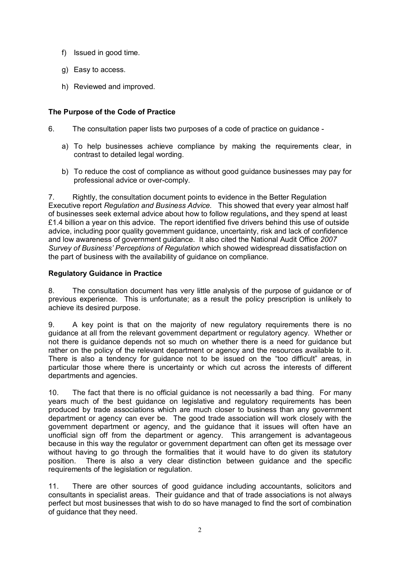- f) Issued in good time.
- g) Easy to access.
- h) Reviewed and improved.

# **The Purpose of the Code of Practice**

- 6. The consultation paper lists two purposes of a code of practice on guidance
	- a) To help businesses achieve compliance by making the requirements clear, in contrast to detailed legal wording.
	- b) To reduce the cost of compliance as without good guidance businesses may pay for professional advice or over-comply.

7. Rightly, the consultation document points to evidence in the Better Regulation Executive report *Regulation and Business Advice.* This showed that every year almost half of businesses seek external advice about how to follow regulations**,** and they spend at least £1.4 billion a year on this advice. The report identified five drivers behind this use of outside advice, including poor quality government guidance, uncertainty, risk and lack of confidence and low awareness of government guidance. It also cited the National Audit Office *2007 Survey of Business' Perceptions of Regulation* which showed widespread dissatisfaction on the part of business with the availability of guidance on compliance.

# **Regulatory Guidance in Practice**

8. The consultation document has very little analysis of the purpose of guidance or of previous experience. This is unfortunate; as a result the policy prescription is unlikely to achieve its desired purpose.

9. A key point is that on the majority of new regulatory requirements there is no guidance at all from the relevant government department or regulatory agency. Whether or not there is guidance depends not so much on whether there is a need for guidance but rather on the policy of the relevant department or agency and the resources available to it. There is also a tendency for guidance not to be issued on the "too difficult" areas, in particular those where there is uncertainty or which cut across the interests of different departments and agencies.

10. The fact that there is no official guidance is not necessarily a bad thing. For many years much of the best guidance on legislative and regulatory requirements has been produced by trade associations which are much closer to business than any government department or agency can ever be. The good trade association will work closely with the government department or agency, and the guidance that it issues will often have an unofficial sign off from the department or agency. This arrangement is advantageous because in this way the regulator or government department can often get its message over without having to go through the formalities that it would have to do given its statutory position. There is also a very clear distinction between guidance and the specific requirements of the legislation or regulation.

11. There are other sources of good guidance including accountants, solicitors and consultants in specialist areas. Their guidance and that of trade associations is not always perfect but most businesses that wish to do so have managed to find the sort of combination of guidance that they need.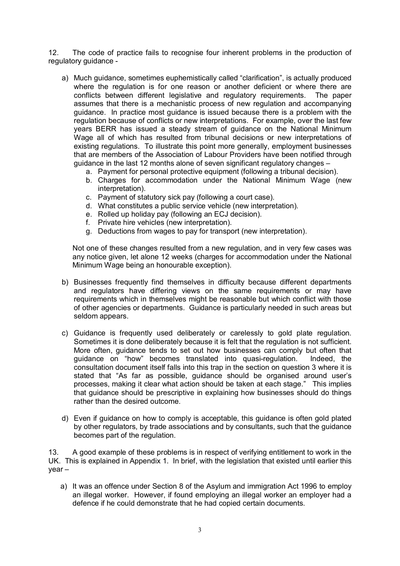12. The code of practice fails to recognise four inherent problems in the production of regulatory guidance -

- a) Much guidance, sometimes euphemistically called "clarification", is actually produced where the regulation is for one reason or another deficient or where there are conflicts between different legislative and regulatory requirements. The paper assumes that there is a mechanistic process of new regulation and accompanying guidance. In practice most guidance is issued because there is a problem with the regulation because of conflicts or new interpretations. For example, over the last few years BERR has issued a steady stream of guidance on the National Minimum Wage all of which has resulted from tribunal decisions or new interpretations of existing regulations. To illustrate this point more generally, employment businesses that are members of the Association of Labour Providers have been notified through guidance in the last 12 months alone of seven significant regulatory changes –
	- a. Payment for personal protective equipment (following a tribunal decision).
	- b. Charges for accommodation under the National Minimum Wage (new interpretation).
	- c. Payment of statutory sick pay (following a court case).
	- d. What constitutes a public service vehicle (new interpretation).
	- e. Rolled up holiday pay (following an ECJ decision).
	- f. Private hire vehicles (new interpretation).
	- g. Deductions from wages to pay for transport (new interpretation).

Not one of these changes resulted from a new regulation, and in very few cases was any notice given, let alone 12 weeks (charges for accommodation under the National Minimum Wage being an honourable exception).

- b) Businesses frequently find themselves in difficulty because different departments and regulators have differing views on the same requirements or may have requirements which in themselves might be reasonable but which conflict with those of other agencies or departments. Guidance is particularly needed in such areas but seldom appears.
- c) Guidance is frequently used deliberately or carelessly to gold plate regulation. Sometimes it is done deliberately because it is felt that the regulation is not sufficient. More often, guidance tends to set out how businesses can comply but often that guidance on "how" becomes translated into quasi-regulation. Indeed, the consultation document itself falls into this trap in the section on question 3 where it is stated that "As far as possible, guidance should be organised around user's processes, making it clear what action should be taken at each stage." This implies that guidance should be prescriptive in explaining how businesses should do things rather than the desired outcome.
- d) Even if guidance on how to comply is acceptable, this guidance is often gold plated by other regulators, by trade associations and by consultants, such that the guidance becomes part of the regulation.

13. A good example of these problems is in respect of verifying entitlement to work in the UK. This is explained in Appendix 1. In brief, with the legislation that existed until earlier this year –

a) It was an offence under Section 8 of the Asylum and immigration Act 1996 to employ an illegal worker. However, if found employing an illegal worker an employer had a defence if he could demonstrate that he had copied certain documents.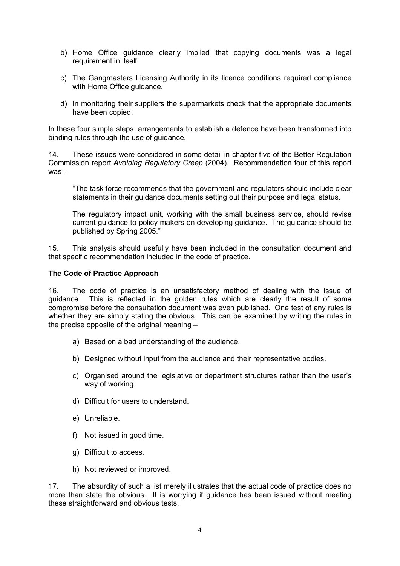- b) Home Office guidance clearly implied that copying documents was a legal requirement in itself.
- c) The Gangmasters Licensing Authority in its licence conditions required compliance with Home Office guidance.
- d) In monitoring their suppliers the supermarkets check that the appropriate documents have been copied.

In these four simple steps, arrangements to establish a defence have been transformed into binding rules through the use of guidance.

14. These issues were considered in some detail in chapter five of the Better Regulation Commission report *Avoiding Regulatory Creep* (2004). Recommendation four of this report was –

 "The task force recommends that the government and regulators should include clear statements in their guidance documents setting out their purpose and legal status.

 The regulatory impact unit, working with the small business service, should revise current guidance to policy makers on developing guidance. The guidance should be published by Spring 2005."

15. This analysis should usefully have been included in the consultation document and that specific recommendation included in the code of practice.

### **The Code of Practice Approach**

16. The code of practice is an unsatisfactory method of dealing with the issue of guidance. This is reflected in the golden rules which are clearly the result of some compromise before the consultation document was even published. One test of any rules is whether they are simply stating the obvious. This can be examined by writing the rules in the precise opposite of the original meaning –

- a) Based on a bad understanding of the audience.
- b) Designed without input from the audience and their representative bodies.
- c) Organised around the legislative or department structures rather than the user's way of working.
- d) Difficult for users to understand.
- e) Unreliable.
- f) Not issued in good time.
- g) Difficult to access.
- h) Not reviewed or improved.

17. The absurdity of such a list merely illustrates that the actual code of practice does no more than state the obvious. It is worrying if guidance has been issued without meeting these straightforward and obvious tests.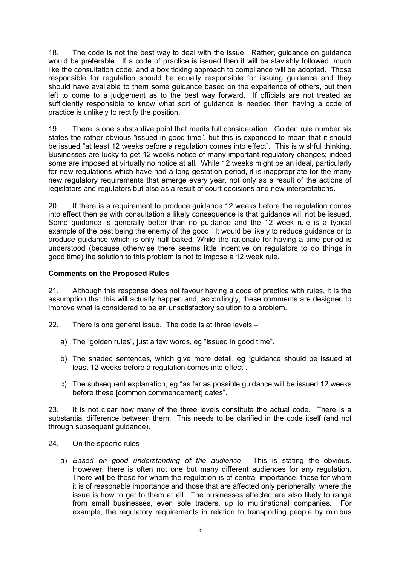18. The code is not the best way to deal with the issue. Rather, guidance on guidance would be preferable. If a code of practice is issued then it will be slavishly followed, much like the consultation code, and a box ticking approach to compliance will be adopted. Those responsible for regulation should be equally responsible for issuing guidance and they should have available to them some guidance based on the experience of others, but then left to come to a judgement as to the best way forward. If officials are not treated as sufficiently responsible to know what sort of guidance is needed then having a code of practice is unlikely to rectify the position.

19. There is one substantive point that merits full consideration. Golden rule number six states the rather obvious "issued in good time", but this is expanded to mean that it should be issued "at least 12 weeks before a regulation comes into effect". This is wishful thinking. Businesses are lucky to get 12 weeks notice of many important regulatory changes; indeed some are imposed at virtually no notice at all. While 12 weeks might be an ideal, particularly for new regulations which have had a long gestation period, it is inappropriate for the many new regulatory requirements that emerge every year, not only as a result of the actions of legislators and regulators but also as a result of court decisions and new interpretations.

20. If there is a requirement to produce guidance 12 weeks before the regulation comes into effect then as with consultation a likely consequence is that guidance will not be issued. Some guidance is generally better than no guidance and the 12 week rule is a typical example of the best being the enemy of the good. It would be likely to reduce guidance or to produce guidance which is only half baked. While the rationale for having a time period is understood (because otherwise there seems little incentive on regulators to do things in good time) the solution to this problem is not to impose a 12 week rule.

# **Comments on the Proposed Rules**

21. Although this response does not favour having a code of practice with rules, it is the assumption that this will actually happen and, accordingly, these comments are designed to improve what is considered to be an unsatisfactory solution to a problem.

22. There is one general issue. The code is at three levels –

- a) The "golden rules", just a few words, eg "issued in good time".
- b) The shaded sentences, which give more detail, eg "guidance should be issued at least 12 weeks before a regulation comes into effect".
- c) The subsequent explanation, eg "as far as possible guidance will be issued 12 weeks before these [common commencement] dates".

23. It is not clear how many of the three levels constitute the actual code. There is a substantial difference between them. This needs to be clarified in the code itself (and not through subsequent guidance).

- 24. On the specific rules
	- a) *Based on good understanding of the audience*. This is stating the obvious. However, there is often not one but many different audiences for any regulation. There will be those for whom the regulation is of central importance, those for whom it is of reasonable importance and those that are affected only peripherally, where the issue is how to get to them at all. The businesses affected are also likely to range from small businesses, even sole traders, up to multinational companies. For example, the regulatory requirements in relation to transporting people by minibus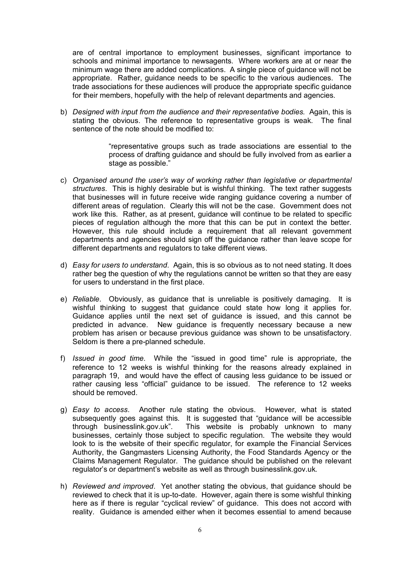are of central importance to employment businesses, significant importance to schools and minimal importance to newsagents. Where workers are at or near the minimum wage there are added complications. A single piece of guidance will not be appropriate. Rather, guidance needs to be specific to the various audiences. The trade associations for these audiences will produce the appropriate specific guidance for their members, hopefully with the help of relevant departments and agencies.

b) *Designed with input from the audience and their representative bodies*. Again, this is stating the obvious. The reference to representative groups is weak. The final sentence of the note should be modified to:

> "representative groups such as trade associations are essential to the process of drafting guidance and should be fully involved from as earlier a stage as possible."

- c) *Organised around the user's way of working rather than legislative or departmental structures*. This is highly desirable but is wishful thinking. The text rather suggests that businesses will in future receive wide ranging guidance covering a number of different areas of regulation. Clearly this will not be the case. Government does not work like this. Rather, as at present, guidance will continue to be related to specific pieces of regulation although the more that this can be put in context the better. However, this rule should include a requirement that all relevant government departments and agencies should sign off the guidance rather than leave scope for different departments and regulators to take different views.
- d) *Easy for users to understand*. Again, this is so obvious as to not need stating. It does rather beg the question of why the regulations cannot be written so that they are easy for users to understand in the first place.
- e) *Reliable*. Obviously, as guidance that is unreliable is positively damaging. It is wishful thinking to suggest that guidance could state how long it applies for. Guidance applies until the next set of guidance is issued, and this cannot be predicted in advance. New guidance is frequently necessary because a new problem has arisen or because previous guidance was shown to be unsatisfactory. Seldom is there a pre-planned schedule.
- f) *Issued in good time*. While the "issued in good time" rule is appropriate, the reference to 12 weeks is wishful thinking for the reasons already explained in paragraph 19, and would have the effect of causing less guidance to be issued or rather causing less "official" guidance to be issued. The reference to 12 weeks should be removed.
- g) *Easy to access*. Another rule stating the obvious. However, what is stated subsequently goes against this. It is suggested that "guidance will be accessible through businesslink.gov.uk". This website is probably unknown to many businesses, certainly those subject to specific regulation. The website they would look to is the website of their specific regulator, for example the Financial Services Authority, the Gangmasters Licensing Authority, the Food Standards Agency or the Claims Management Regulator. The guidance should be published on the relevant regulator's or department's website as well as through businesslink.gov.uk.
- h) *Reviewed and improved*. Yet another stating the obvious, that guidance should be reviewed to check that it is up-to-date. However, again there is some wishful thinking here as if there is regular "cyclical review" of guidance. This does not accord with reality. Guidance is amended either when it becomes essential to amend because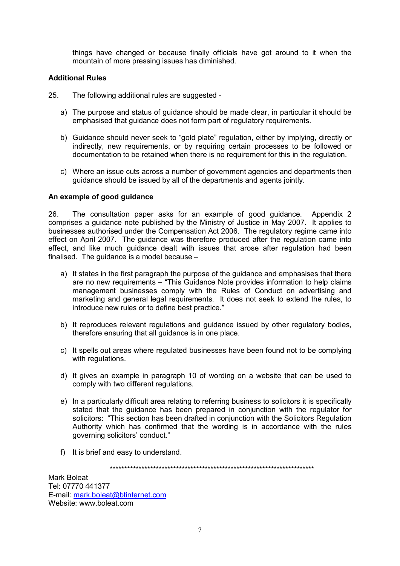things have changed or because finally officials have got around to it when the mountain of more pressing issues has diminished.

### **Additional Rules**

- 25. The following additional rules are suggested
	- a) The purpose and status of guidance should be made clear, in particular it should be emphasised that guidance does not form part of regulatory requirements.
	- b) Guidance should never seek to "gold plate" regulation, either by implying, directly or indirectly, new requirements, or by requiring certain processes to be followed or documentation to be retained when there is no requirement for this in the regulation.
	- c) Where an issue cuts across a number of government agencies and departments then guidance should be issued by all of the departments and agents jointly.

### **An example of good guidance**

26. The consultation paper asks for an example of good guidance. Appendix 2 comprises a guidance note published by the Ministry of Justice in May 2007. It applies to businesses authorised under the Compensation Act 2006. The regulatory regime came into effect on April 2007. The guidance was therefore produced after the regulation came into effect, and like much guidance dealt with issues that arose after regulation had been finalised. The guidance is a model because –

- a) It states in the first paragraph the purpose of the guidance and emphasises that there are no new requirements – "This Guidance Note provides information to help claims management businesses comply with the Rules of Conduct on advertising and marketing and general legal requirements. It does not seek to extend the rules, to introduce new rules or to define best practice."
- b) It reproduces relevant regulations and guidance issued by other regulatory bodies, therefore ensuring that all guidance is in one place.
- c) It spells out areas where regulated businesses have been found not to be complying with regulations.
- d) It gives an example in paragraph 10 of wording on a website that can be used to comply with two different regulations.
- e) In a particularly difficult area relating to referring business to solicitors it is specifically stated that the guidance has been prepared in conjunction with the regulator for solicitors: "This section has been drafted in conjunction with the Solicitors Regulation Authority which has confirmed that the wording is in accordance with the rules governing solicitors' conduct."
- f) It is brief and easy to understand.

\*\*\*\*\*\*\*\*\*\*\*\*\*\*\*\*\*\*\*\*\*\*\*\*\*\*\*\*\*\*\*\*\*\*\*\*\*\*\*\*\*\*\*\*\*\*\*\*\*\*\*\*\*\*\*\*\*\*\*\*\*\*\*\*\*\*\*\*\*\*\*

Mark Boleat Tel: 07770 441377 E-mail: [mark.boleat@btinternet.com](mailto:mark.boleat@btinternet.com) Website: www.boleat.com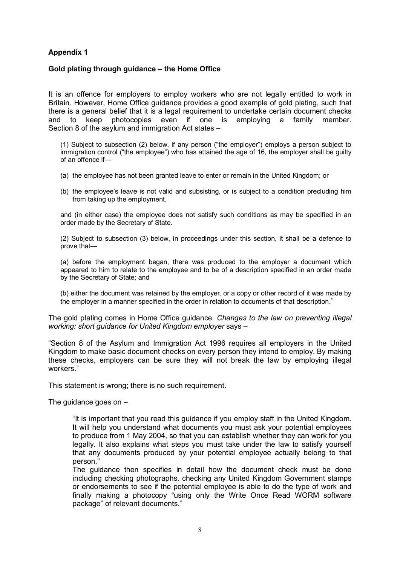# **Appendix 1**

### **Gold plating through guidance – the Home Office**

It is an offence for employers to employ workers who are not legally entitled to work in Britain. However, Home Office guidance provides a good example of gold plating, such that there is a general belief that it is a legal requirement to undertake certain document checks and to keep photocopies even if one is employing a family member. Section 8 of the asylum and immigration Act states –

(1) Subject to subsection (2) below, if any person ("the employer") employs a person subject to immigration control ("the employee") who has attained the age of 16, the employer shall be guilty of an offence if—

- (a) the employee has not been granted leave to enter or remain in the United Kingdom; or
- (b) the employee's leave is not valid and subsisting, or is subject to a condition precluding him from taking up the employment,

and (in either case) the employee does not satisfy such conditions as may be specified in an order made by the Secretary of State.

(2) Subject to subsection (3) below, in proceedings under this section, it shall be a defence to prove that—

(a) before the employment began, there was produced to the employer a document which appeared to him to relate to the employee and to be of a description specified in an order made by the Secretary of State; and

(b) either the document was retained by the employer, or a copy or other record of it was made by the employer in a manner specified in the order in relation to documents of that description."

The gold plating comes in Home Office guidance. *Changes to the law on preventing illegal working: short guidance for United Kingdom employer* says –

"Section 8 of the Asylum and Immigration Act 1996 requires all employers in the United Kingdom to make basic document checks on every person they intend to employ. By making these checks, employers can be sure they will not break the law by employing illegal workers."

This statement is wrong; there is no such requirement.

The guidance goes on –

"It is important that you read this guidance if you employ staff in the United Kingdom. It will help you understand what documents you must ask your potential employees to produce from 1 May 2004, so that you can establish whether they can work for you legally. It also explains what steps you must take under the law to satisfy yourself that any documents produced by your potential employee actually belong to that person."

The guidance then specifies in detail how the document check must be done including checking photographs. checking any United Kingdom Government stamps or endorsements to see if the potential employee is able to do the type of work and finally making a photocopy "using only the Write Once Read WORM software package" of relevant documents."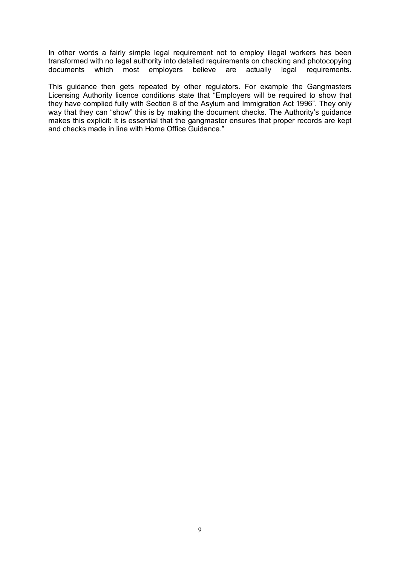In other words a fairly simple legal requirement not to employ illegal workers has been transformed with no legal authority into detailed requirements on checking and photocopying documents which most employers believe are actually legal requirements.

This guidance then gets repeated by other regulators. For example the Gangmasters Licensing Authority licence conditions state that "Employers will be required to show that they have complied fully with Section 8 of the Asylum and Immigration Act 1996". They only way that they can "show" this is by making the document checks. The Authority's guidance makes this explicit: It is essential that the gangmaster ensures that proper records are kept and checks made in line with Home Office Guidance."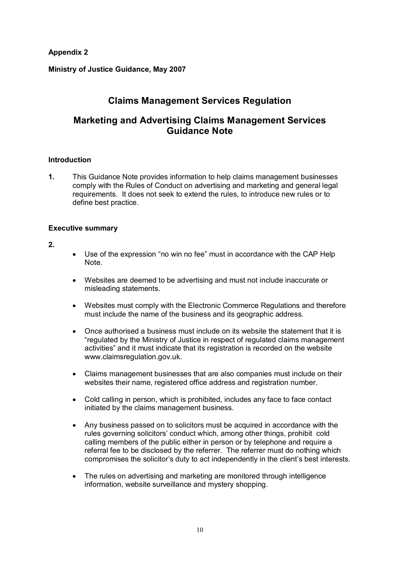**Appendix 2**

**Ministry of Justice Guidance, May 2007**

# **Claims Management Services Regulation**

# **Marketing and Advertising Claims Management Services Guidance Note**

### **Introduction**

**1.** This Guidance Note provides information to help claims management businesses comply with the Rules of Conduct on advertising and marketing and general legal requirements. It does not seek to extend the rules, to introduce new rules or to define best practice.

### **Executive summary**

### **2.**

- Use of the expression "no win no fee" must in accordance with the CAP Help Note.
- · Websites are deemed to be advertising and must not include inaccurate or misleading statements.
- · Websites must comply with the Electronic Commerce Regulations and therefore must include the name of the business and its geographic address.
- · Once authorised a business must include on its website the statement that it is "regulated by the Ministry of Justice in respect of regulated claims management activities" and it must indicate that its registration is recorded on the website www.claimsregulation.gov.uk.
- · Claims management businesses that are also companies must include on their websites their name, registered office address and registration number.
- · Cold calling in person, which is prohibited, includes any face to face contact initiated by the claims management business.
- · Any business passed on to solicitors must be acquired in accordance with the rules governing solicitors' conduct which, among other things, prohibit cold calling members of the public either in person or by telephone and require a referral fee to be disclosed by the referrer. The referrer must do nothing which compromises the solicitor's duty to act independently in the client's best interests.
- The rules on advertising and marketing are monitored through intelligence information, website surveillance and mystery shopping.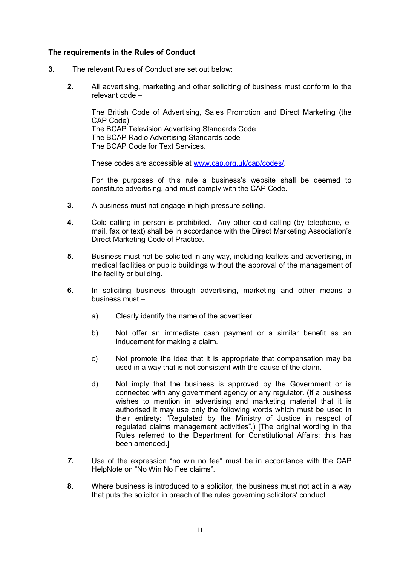### **The requirements in the Rules of Conduct**

- **3**. The relevant Rules of Conduct are set out below:
	- **2.** All advertising, marketing and other soliciting of business must conform to the relevant code –

The British Code of Advertising, Sales Promotion and Direct Marketing (the CAP Code) The BCAP Television Advertising Standards Code The BCAP Radio Advertising Standards code The BCAP Code for Text Services.

These codes are accessible at [www.cap.org.uk/cap/codes/.](http://www.cap.org.uk/cap/codes/)

For the purposes of this rule a business's website shall be deemed to constitute advertising, and must comply with the CAP Code.

- **3.** A business must not engage in high pressure selling.
- **4.** Cold calling in person is prohibited. Any other cold calling (by telephone, email, fax or text) shall be in accordance with the Direct Marketing Association's Direct Marketing Code of Practice.
- **5.** Business must not be solicited in any way, including leaflets and advertising, in medical facilities or public buildings without the approval of the management of the facility or building.
- **6.** In soliciting business through advertising, marketing and other means a business must –
	- a) Clearly identify the name of the advertiser.
	- b) Not offer an immediate cash payment or a similar benefit as an inducement for making a claim.
	- c) Not promote the idea that it is appropriate that compensation may be used in a way that is not consistent with the cause of the claim.
	- d) Not imply that the business is approved by the Government or is connected with any government agency or any regulator. (If a business wishes to mention in advertising and marketing material that it is authorised it may use only the following words which must be used in their entirety: "Regulated by the Ministry of Justice in respect of regulated claims management activities".) [The original wording in the Rules referred to the Department for Constitutional Affairs; this has been amended.]
- *7.* Use of the expression "no win no fee" must be in accordance with the CAP HelpNote on "No Win No Fee claims".
- **8.** Where business is introduced to a solicitor, the business must not act in a way that puts the solicitor in breach of the rules governing solicitors' conduct.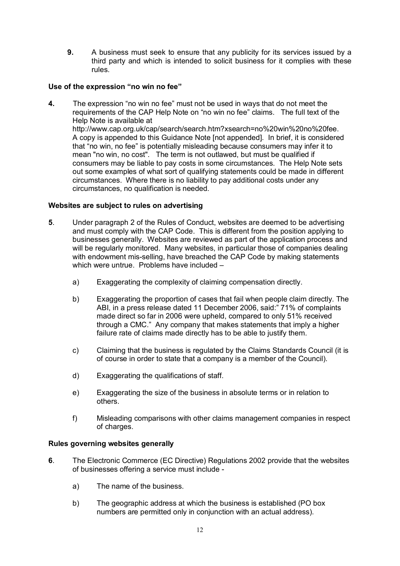**9.** A business must seek to ensure that any publicity for its services issued by a third party and which is intended to solicit business for it complies with these rules.

# **Use of the expression "no win no fee"**

**4.** The expression "no win no fee" must not be used in ways that do not meet the requirements of the CAP Help Note on "no win no fee" claims. The full text of the Help Note is available at http://www.cap.org.uk/cap/search/search.htm?xsearch=no%20win%20no%20fee. A copy is appended to this Guidance Note [not appended]. In brief, it is considered that "no win, no fee" is potentially misleading because consumers may infer it to mean "no win, no cost". The term is not outlawed, but must be qualified if consumers may be liable to pay costs in some circumstances. The Help Note sets out some examples of what sort of qualifying statements could be made in different circumstances. Where there is no liability to pay additional costs under any circumstances, no qualification is needed.

# **Websites are subject to rules on advertising**

- **5**. Under paragraph 2 of the Rules of Conduct, websites are deemed to be advertising and must comply with the CAP Code. This is different from the position applying to businesses generally. Websites are reviewed as part of the application process and will be regularly monitored. Many websites, in particular those of companies dealing with endowment mis-selling, have breached the CAP Code by making statements which were untrue. Problems have included
	- a) Exaggerating the complexity of claiming compensation directly.
	- b) Exaggerating the proportion of cases that fail when people claim directly. The ABI, in a press release dated 11 December 2006, said:" 71% of complaints made direct so far in 2006 were upheld, compared to only 51% received through a CMC." Any company that makes statements that imply a higher failure rate of claims made directly has to be able to justify them.
	- c) Claiming that the business is regulated by the Claims Standards Council (it is of course in order to state that a company is a member of the Council).
	- d) Exaggerating the qualifications of staff.
	- e) Exaggerating the size of the business in absolute terms or in relation to others.
	- f) Misleading comparisons with other claims management companies in respect of charges.

### **Rules governing websites generally**

- **6**. The Electronic Commerce (EC Directive) Regulations 2002 provide that the websites of businesses offering a service must include
	- a) The name of the business.
	- b) The geographic address at which the business is established (PO box numbers are permitted only in conjunction with an actual address).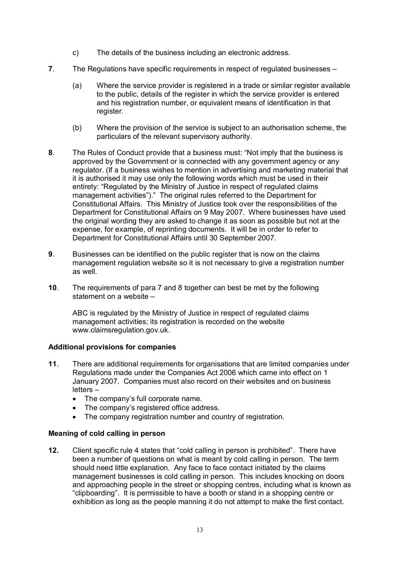- c) The details of the business including an electronic address.
- **7**. The Regulations have specific requirements in respect of regulated businesses
	- (a) Where the service provider is registered in a trade or similar register available to the public, details of the register in which the service provider is entered and his registration number, or equivalent means of identification in that register.
	- (b) Where the provision of the service is subject to an authorisation scheme, the particulars of the relevant supervisory authority.
- **8**. The Rules of Conduct provide that a business must: "Not imply that the business is approved by the Government or is connected with any government agency or any regulator. (If a business wishes to mention in advertising and marketing material that it is authorised it may use only the following words which must be used in their entirety: "Regulated by the Ministry of Justice in respect of regulated claims management activities")." The original rules referred to the Department for Constitutional Affairs. This Ministry of Justice took over the responsibilities of the Department for Constitutional Affairs on 9 May 2007. Where businesses have used the original wording they are asked to change it as soon as possible but not at the expense, for example, of reprinting documents. It will be in order to refer to Department for Constitutional Affairs until 30 September 2007.
- **9**. Businesses can be identified on the public register that is now on the claims management regulation website so it is not necessary to give a registration number as well.
- **10**. The requirements of para 7 and 8 together can best be met by the following statement on a website –

ABC is regulated by the Ministry of Justice in respect of regulated claims management activities; its registration is recorded on the website www.claimsregulation.gov.uk.

# **Additional provisions for companies**

- **11**. There are additional requirements for organisations that are limited companies under Regulations made under the Companies Act 2006 which came into effect on 1 January 2007. Companies must also record on their websites and on business letters –
	- · The company's full corporate name.
	- The company's registered office address.
	- The company registration number and country of registration.

### **Meaning of cold calling in person**

**12.** Client specific rule 4 states that "cold calling in person is prohibited". There have been a number of questions on what is meant by cold calling in person. The term should need little explanation. Any face to face contact initiated by the claims management businesses is cold calling in person. This includes knocking on doors and approaching people in the street or shopping centres, including what is known as "clipboarding". It is permissible to have a booth or stand in a shopping centre or exhibition as long as the people manning it do not attempt to make the first contact.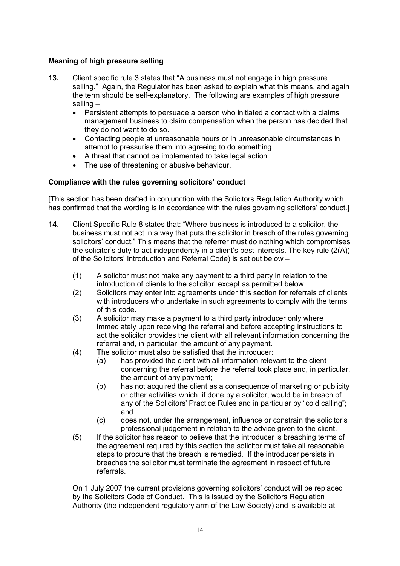# **Meaning of high pressure selling**

- **13.** Client specific rule 3 states that "A business must not engage in high pressure selling." Again, the Regulator has been asked to explain what this means, and again the term should be self-explanatory. The following are examples of high pressure selling –
	- · Persistent attempts to persuade a person who initiated a contact with a claims management business to claim compensation when the person has decided that they do not want to do so.
	- · Contacting people at unreasonable hours or in unreasonable circumstances in attempt to pressurise them into agreeing to do something.
	- A threat that cannot be implemented to take legal action.
	- The use of threatening or abusive behaviour.

# **Compliance with the rules governing solicitors' conduct**

[This section has been drafted in conjunction with the Solicitors Regulation Authority which has confirmed that the wording is in accordance with the rules governing solicitors' conduct.

- **14**. Client Specific Rule 8 states that: "Where business is introduced to a solicitor, the business must not act in a way that puts the solicitor in breach of the rules governing solicitors' conduct." This means that the referrer must do nothing which compromises the solicitor's duty to act independently in a client's best interests. The key rule (2(A)) of the Solicitors' Introduction and Referral Code) is set out below –
	- (1) A solicitor must not make any payment to a third party in relation to the introduction of clients to the solicitor, except as permitted below.
	- (2) Solicitors may enter into agreements under this section for referrals of clients with introducers who undertake in such agreements to comply with the terms of this code.
	- (3) A solicitor may make a payment to a third party introducer only where immediately upon receiving the referral and before accepting instructions to act the solicitor provides the client with all relevant information concerning the referral and, in particular, the amount of any payment.
	- (4) The solicitor must also be satisfied that the introducer:
		- (a) has provided the client with all information relevant to the client concerning the referral before the referral took place and, in particular, the amount of any payment;
		- (b) has not acquired the client as a consequence of marketing or publicity or other activities which, if done by a solicitor, would be in breach of any of the Solicitors' Practice Rules and in particular by "cold calling"; and
		- (c) does not, under the arrangement, influence or constrain the solicitor's professional judgement in relation to the advice given to the client.
	- (5) If the solicitor has reason to believe that the introducer is breaching terms of the agreement required by this section the solicitor must take all reasonable steps to procure that the breach is remedied. If the introducer persists in breaches the solicitor must terminate the agreement in respect of future referrals.

On 1 July 2007 the current provisions governing solicitors' conduct will be replaced by the Solicitors Code of Conduct. This is issued by the Solicitors Regulation Authority (the independent regulatory arm of the Law Society) and is available at